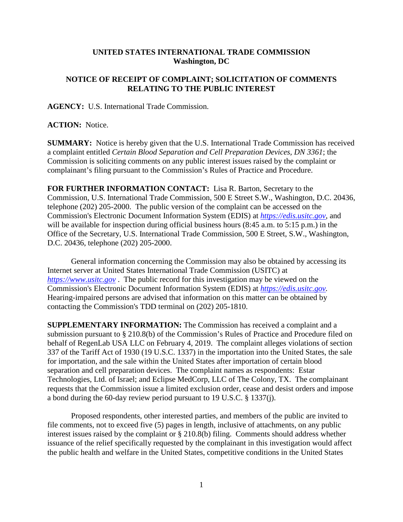## **UNITED STATES INTERNATIONAL TRADE COMMISSION Washington, DC**

## **NOTICE OF RECEIPT OF COMPLAINT; SOLICITATION OF COMMENTS RELATING TO THE PUBLIC INTEREST**

**AGENCY:** U.S. International Trade Commission.

## **ACTION:** Notice.

**SUMMARY:** Notice is hereby given that the U.S. International Trade Commission has received a complaint entitled *Certain Blood Separation and Cell Preparation Devices, DN 3361*; the Commission is soliciting comments on any public interest issues raised by the complaint or complainant's filing pursuant to the Commission's Rules of Practice and Procedure.

**FOR FURTHER INFORMATION CONTACT:** Lisa R. Barton, Secretary to the Commission, U.S. International Trade Commission, 500 E Street S.W., Washington, D.C. 20436, telephone (202) 205-2000. The public version of the complaint can be accessed on the Commission's Electronic Document Information System (EDIS) at *[https://edis.usitc.gov](https://edis.usitc.gov/)*, and will be available for inspection during official business hours (8:45 a.m. to 5:15 p.m.) in the Office of the Secretary, U.S. International Trade Commission, 500 E Street, S.W., Washington, D.C. 20436, telephone (202) 205-2000.

General information concerning the Commission may also be obtained by accessing its Internet server at United States International Trade Commission (USITC) at *[https://www.usitc.gov](https://www.usitc.gov/)* . The public record for this investigation may be viewed on the Commission's Electronic Document Information System (EDIS) at *[https://edis.usitc.gov.](https://edis.usitc.gov/)* Hearing-impaired persons are advised that information on this matter can be obtained by contacting the Commission's TDD terminal on (202) 205-1810.

**SUPPLEMENTARY INFORMATION:** The Commission has received a complaint and a submission pursuant to § 210.8(b) of the Commission's Rules of Practice and Procedure filed on behalf of RegenLab USA LLC on February 4, 2019. The complaint alleges violations of section 337 of the Tariff Act of 1930 (19 U.S.C. 1337) in the importation into the United States, the sale for importation, and the sale within the United States after importation of certain blood separation and cell preparation devices. The complaint names as respondents: Estar Technologies, Ltd. of Israel; and Eclipse MedCorp, LLC of The Colony, TX. The complainant requests that the Commission issue a limited exclusion order, cease and desist orders and impose a bond during the 60-day review period pursuant to 19 U.S.C. § 1337(j).

Proposed respondents, other interested parties, and members of the public are invited to file comments, not to exceed five (5) pages in length, inclusive of attachments, on any public interest issues raised by the complaint or § 210.8(b) filing. Comments should address whether issuance of the relief specifically requested by the complainant in this investigation would affect the public health and welfare in the United States, competitive conditions in the United States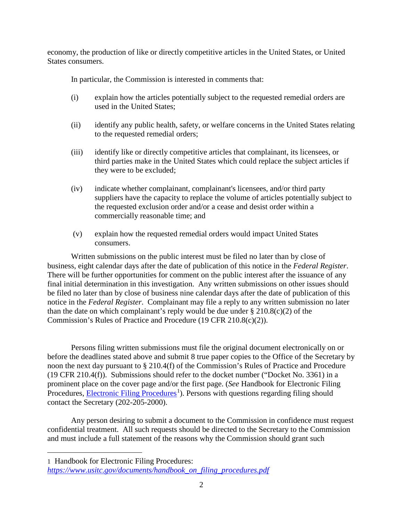economy, the production of like or directly competitive articles in the United States, or United States consumers.

In particular, the Commission is interested in comments that:

- (i) explain how the articles potentially subject to the requested remedial orders are used in the United States;
- (ii) identify any public health, safety, or welfare concerns in the United States relating to the requested remedial orders;
- (iii) identify like or directly competitive articles that complainant, its licensees, or third parties make in the United States which could replace the subject articles if they were to be excluded;
- (iv) indicate whether complainant, complainant's licensees, and/or third party suppliers have the capacity to replace the volume of articles potentially subject to the requested exclusion order and/or a cease and desist order within a commercially reasonable time; and
- (v) explain how the requested remedial orders would impact United States consumers.

Written submissions on the public interest must be filed no later than by close of business, eight calendar days after the date of publication of this notice in the *Federal Register*. There will be further opportunities for comment on the public interest after the issuance of any final initial determination in this investigation. Any written submissions on other issues should be filed no later than by close of business nine calendar days after the date of publication of this notice in the *Federal Register*. Complainant may file a reply to any written submission no later than the date on which complainant's reply would be due under  $\S 210.8(c)(2)$  of the Commission's Rules of Practice and Procedure (19 CFR 210.8(c)(2)).

Persons filing written submissions must file the original document electronically on or before the deadlines stated above and submit 8 true paper copies to the Office of the Secretary by noon the next day pursuant to § 210.4(f) of the Commission's Rules of Practice and Procedure (19 CFR 210.4(f)). Submissions should refer to the docket number ("Docket No. 3361) in a prominent place on the cover page and/or the first page. (*See* Handbook for Electronic Filing Procedures, **Electronic Filing Procedures**<sup>[1](#page-1-0)</sup>). Persons with questions regarding filing should contact the Secretary (202-205-2000).

Any person desiring to submit a document to the Commission in confidence must request confidential treatment. All such requests should be directed to the Secretary to the Commission and must include a full statement of the reasons why the Commission should grant such

<span id="page-1-0"></span>1 Handbook for Electronic Filing Procedures:

 $\overline{a}$ 

*[https://www.usitc.gov/documents/handbook\\_on\\_filing\\_procedures.pdf](https://www.usitc.gov/documents/handbook_on_filing_procedures.pdf)*